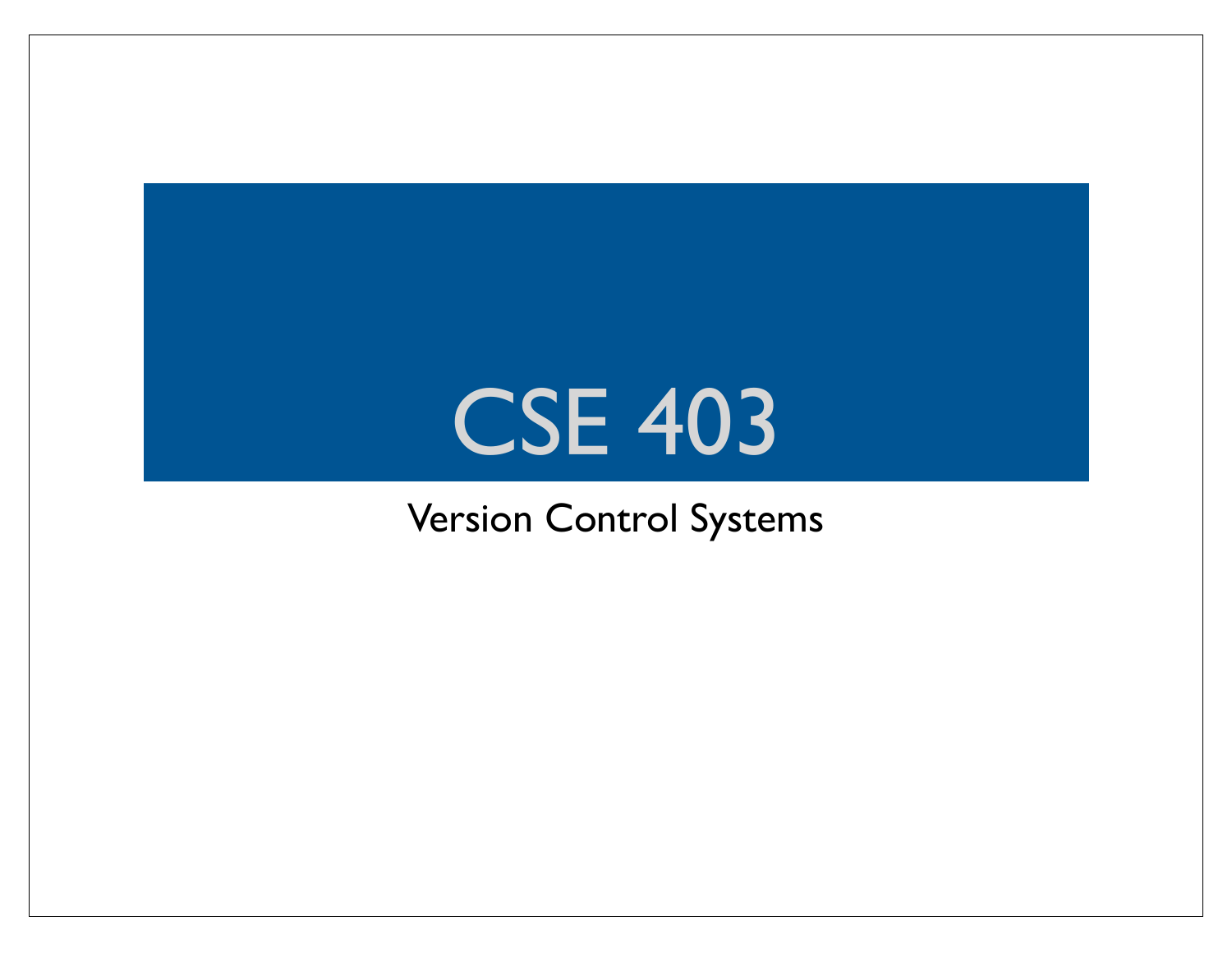#### CSE 403

#### Version Control Systems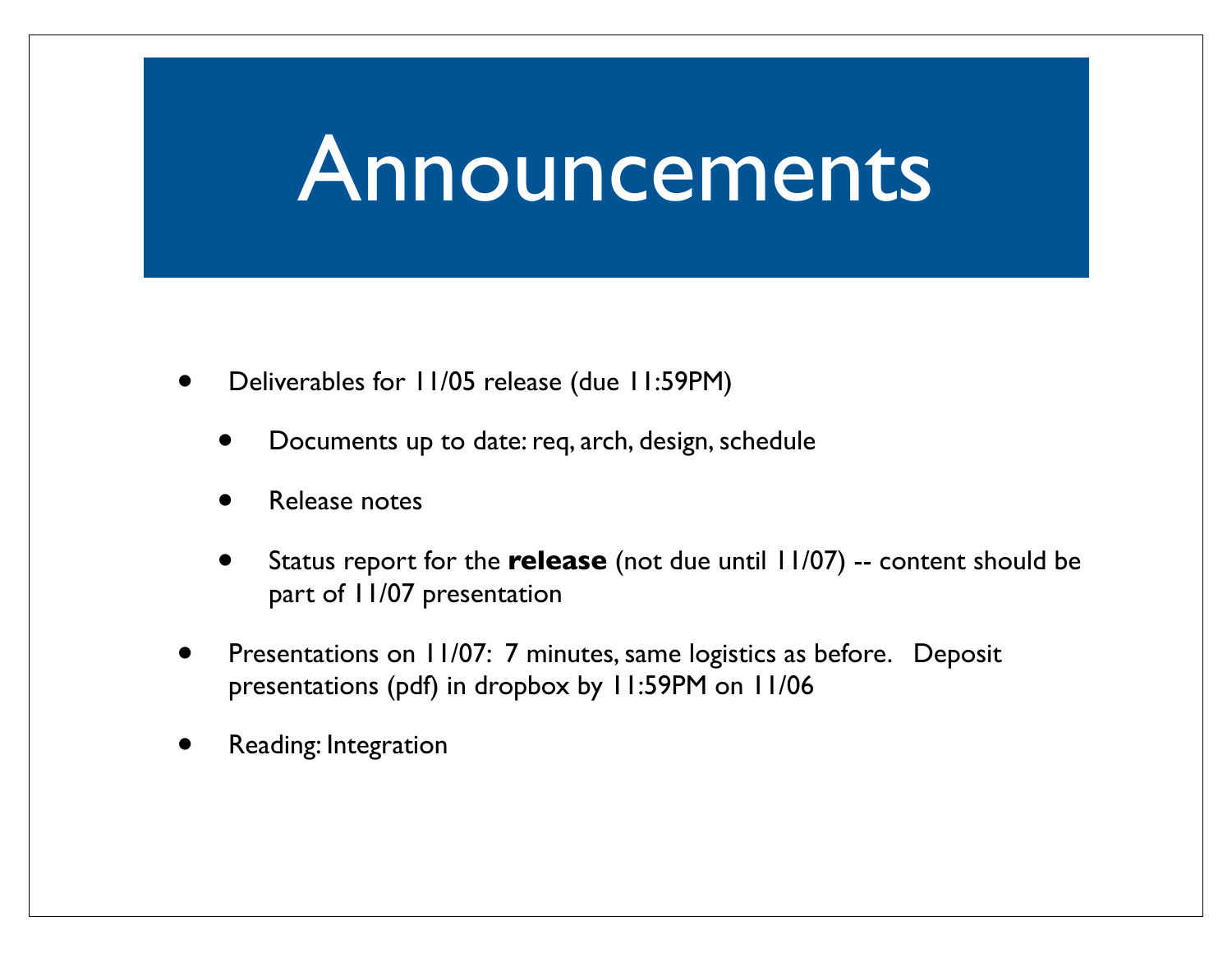#### Announcements

- Deliverables for 11/05 release (due 11:59PM)
	- Documents up to date: req, arch, design, schedule
	- Release notes
	- Status report for the **release** (not due until 11/07) -- content should be part of 11/07 presentation
- Presentations on 11/07: 7 minutes, same logistics as before. Deposit presentations (pdf) in dropbox by 11:59PM on 11/06
- Reading: Integration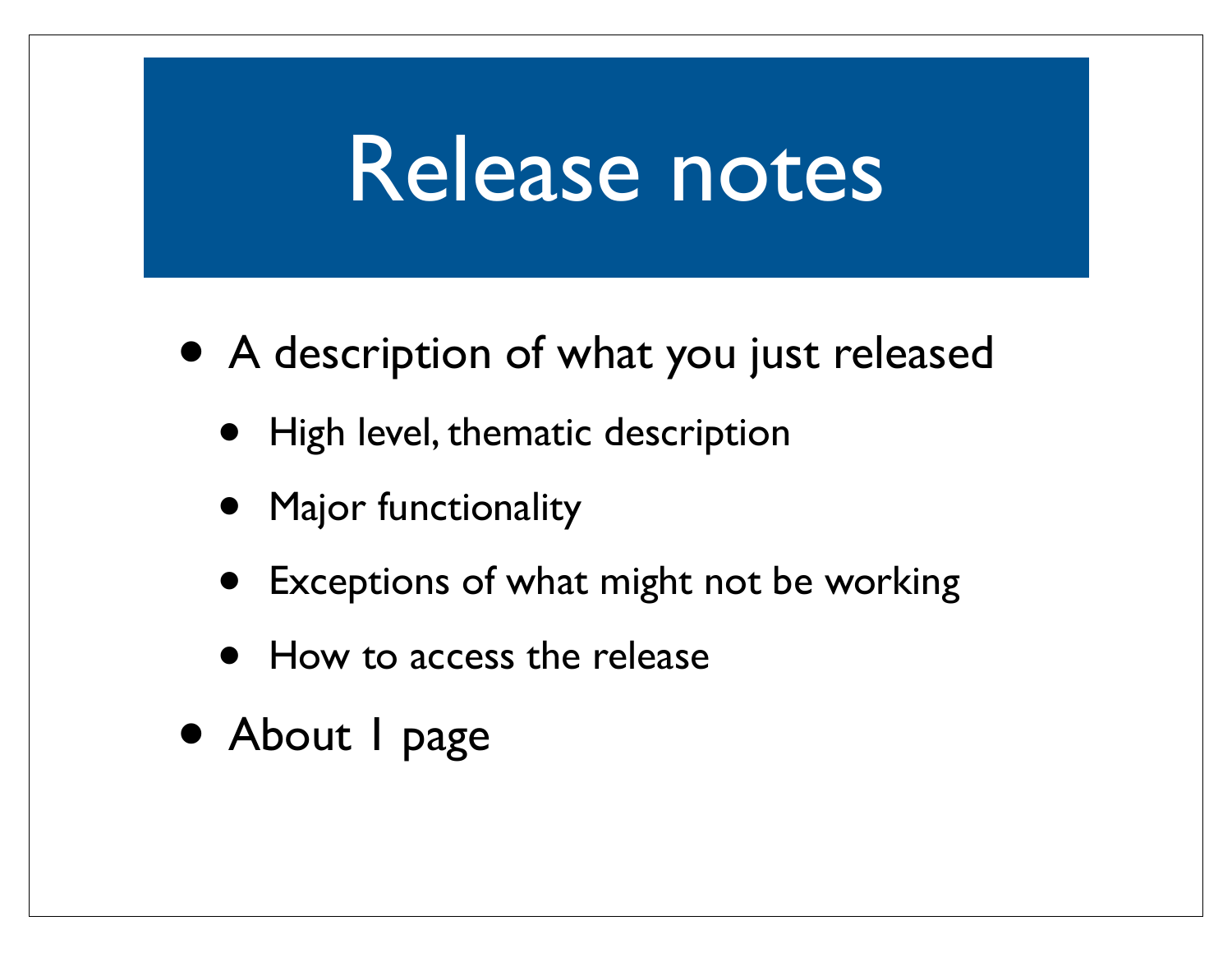#### Release notes

- A description of what you just released
	- High level, thematic description
	- Major functionality
	- Exceptions of what might not be working
	- How to access the release
- About I page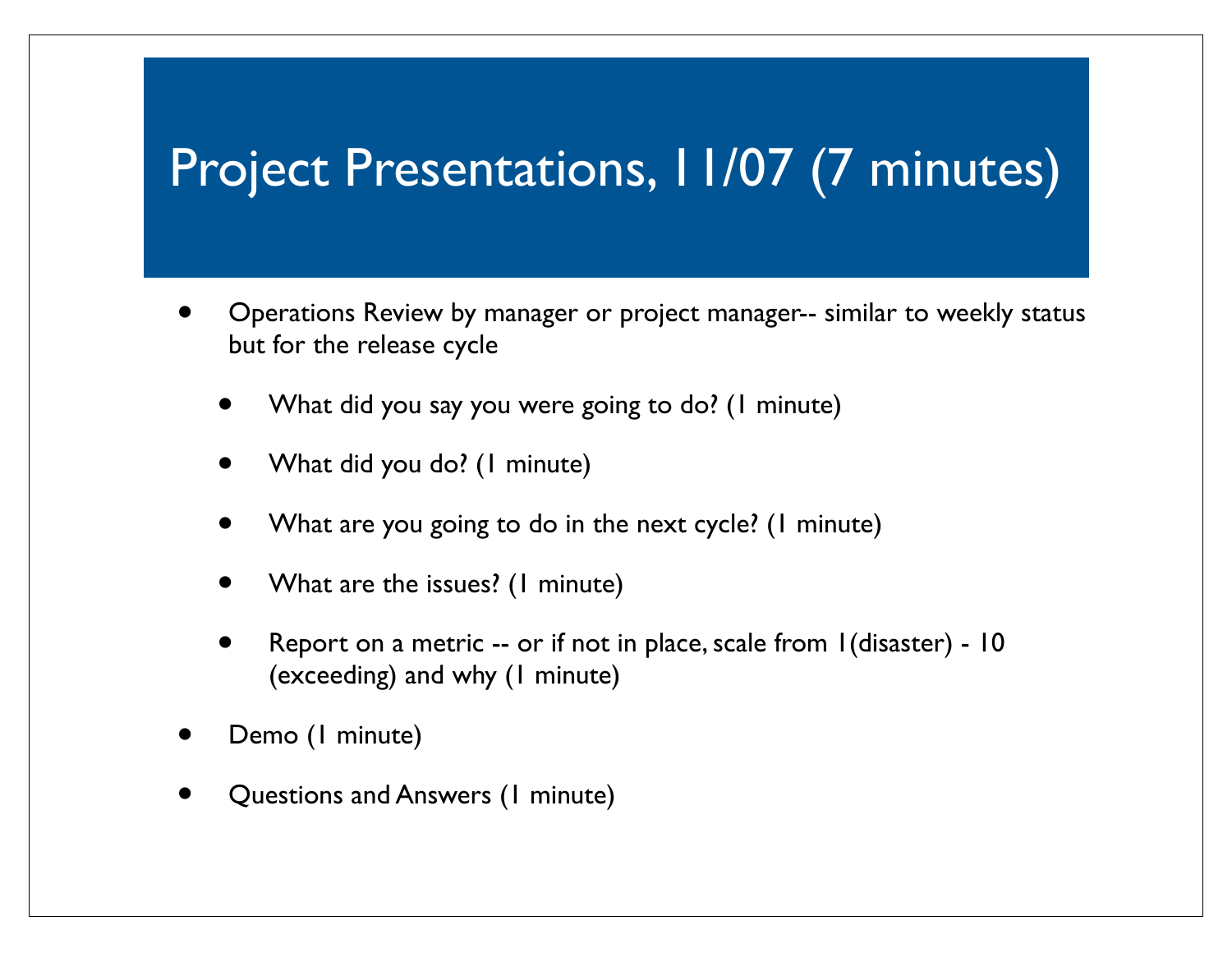#### Project Presentations, 11/07 (7 minutes)

- Operations Review by manager or project manager-- similar to weekly status but for the release cycle
	- What did you say you were going to do? (1 minute)
	- What did you do? (1 minute)
	- What are you going to do in the next cycle? (1 minute)
	- What are the issues? (1 minute)
	- Report on a metric -- or if not in place, scale from 1(disaster) 10 (exceeding) and why (1 minute)
- Demo (1 minute)
- Questions and Answers (1 minute)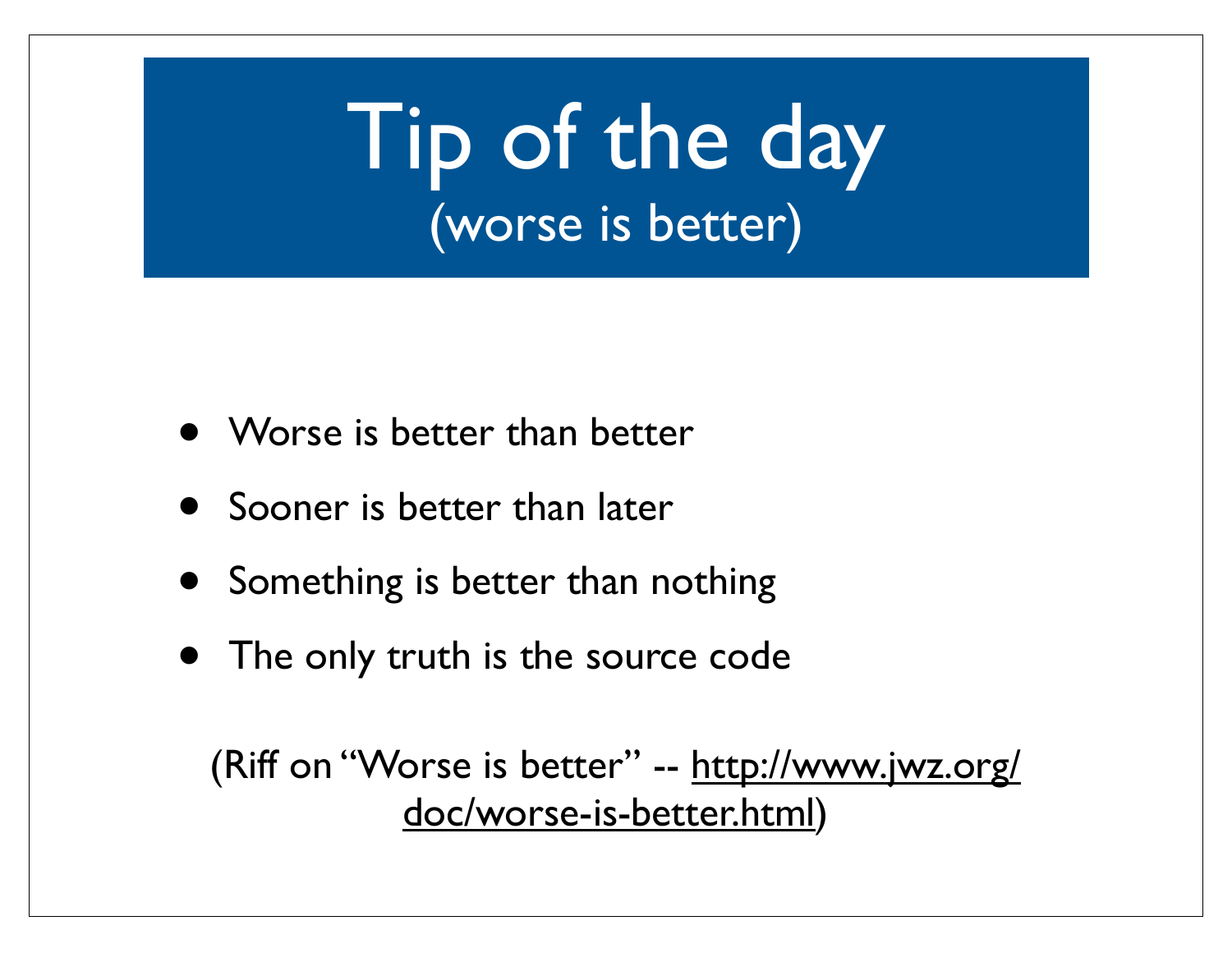Tip of the day (worse is better)

- Worse is better than better
- Sooner is better than later
- Something is better than nothing
- The only truth is the source code

(Riff on "Worse is better" -- http://www.jwz.org/ doc/worse-is-better.html)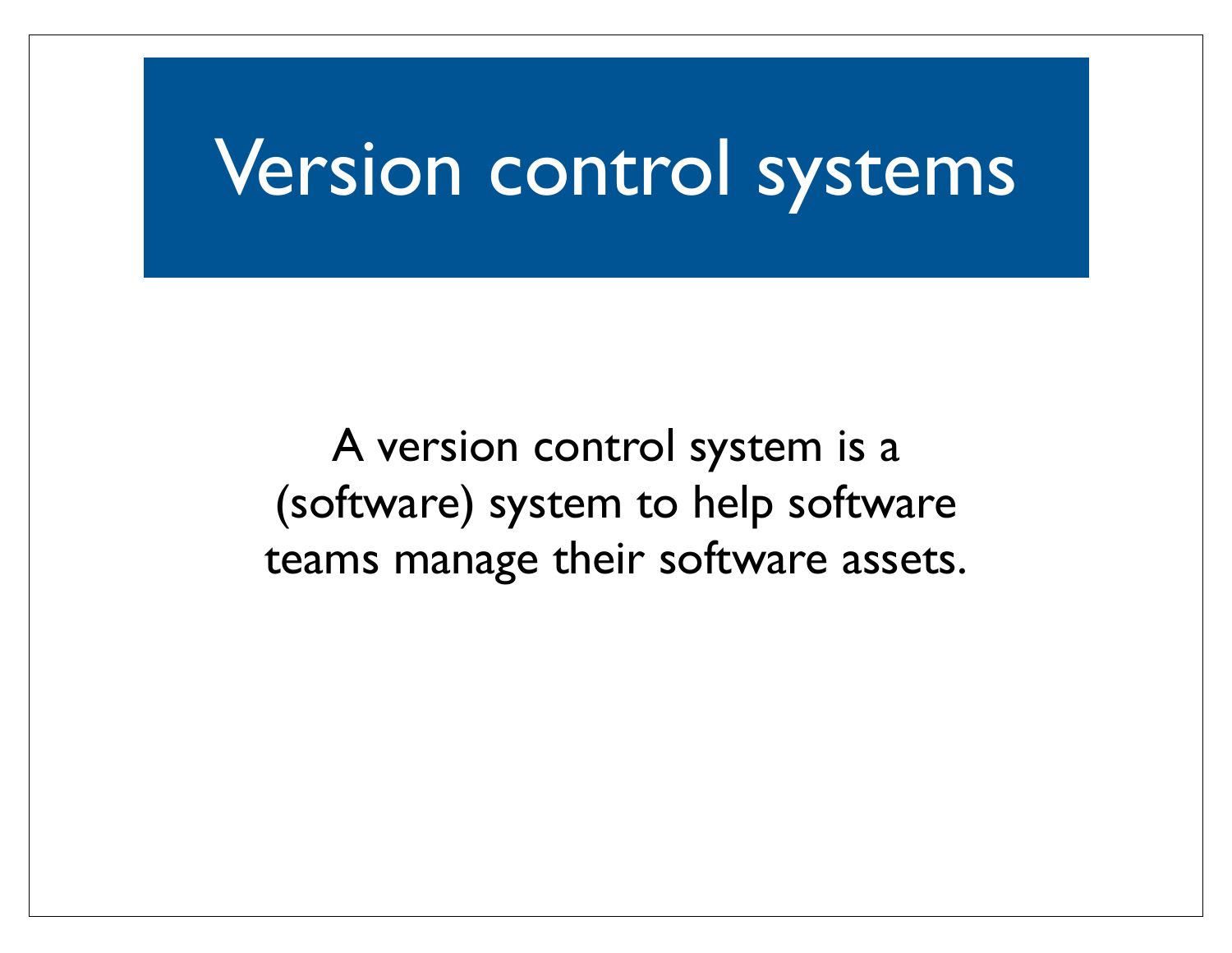#### Version control systems

A version control system is a (software) system to help software teams manage their software assets.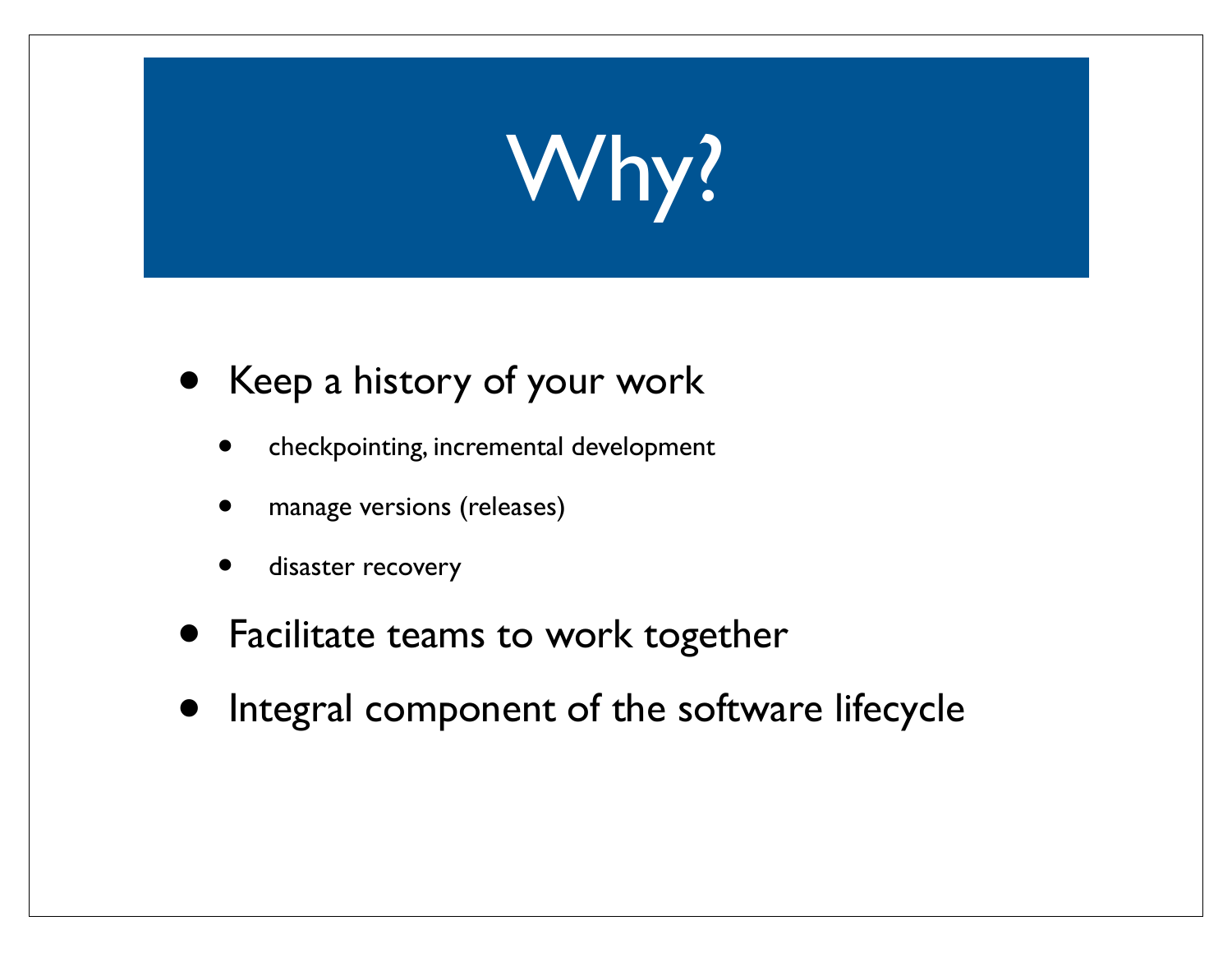# Why?

- Keep a history of your work
	- checkpointing, incremental development
	- manage versions (releases)
	- disaster recovery
- Facilitate teams to work together
- Integral component of the software lifecycle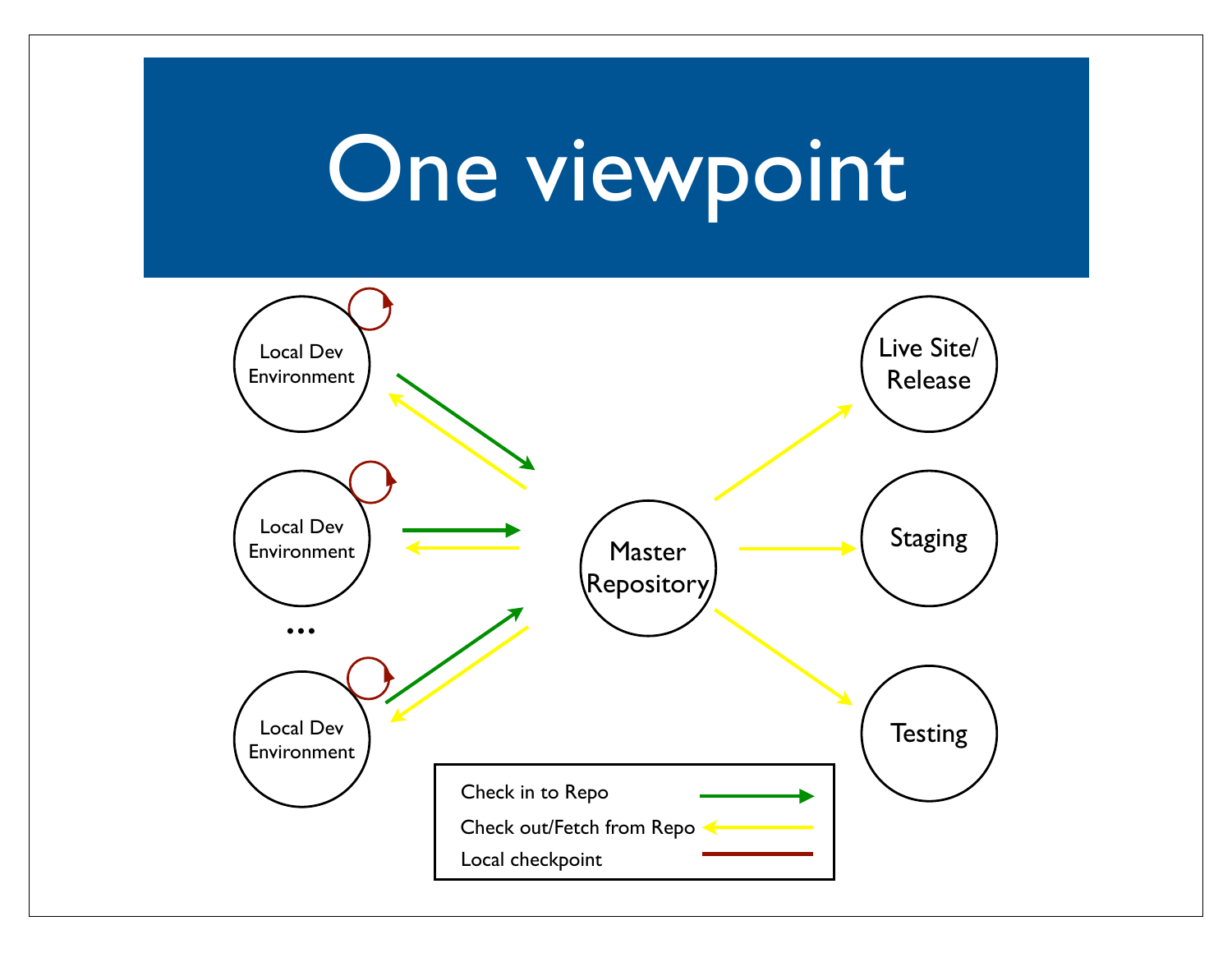#### One viewpoint

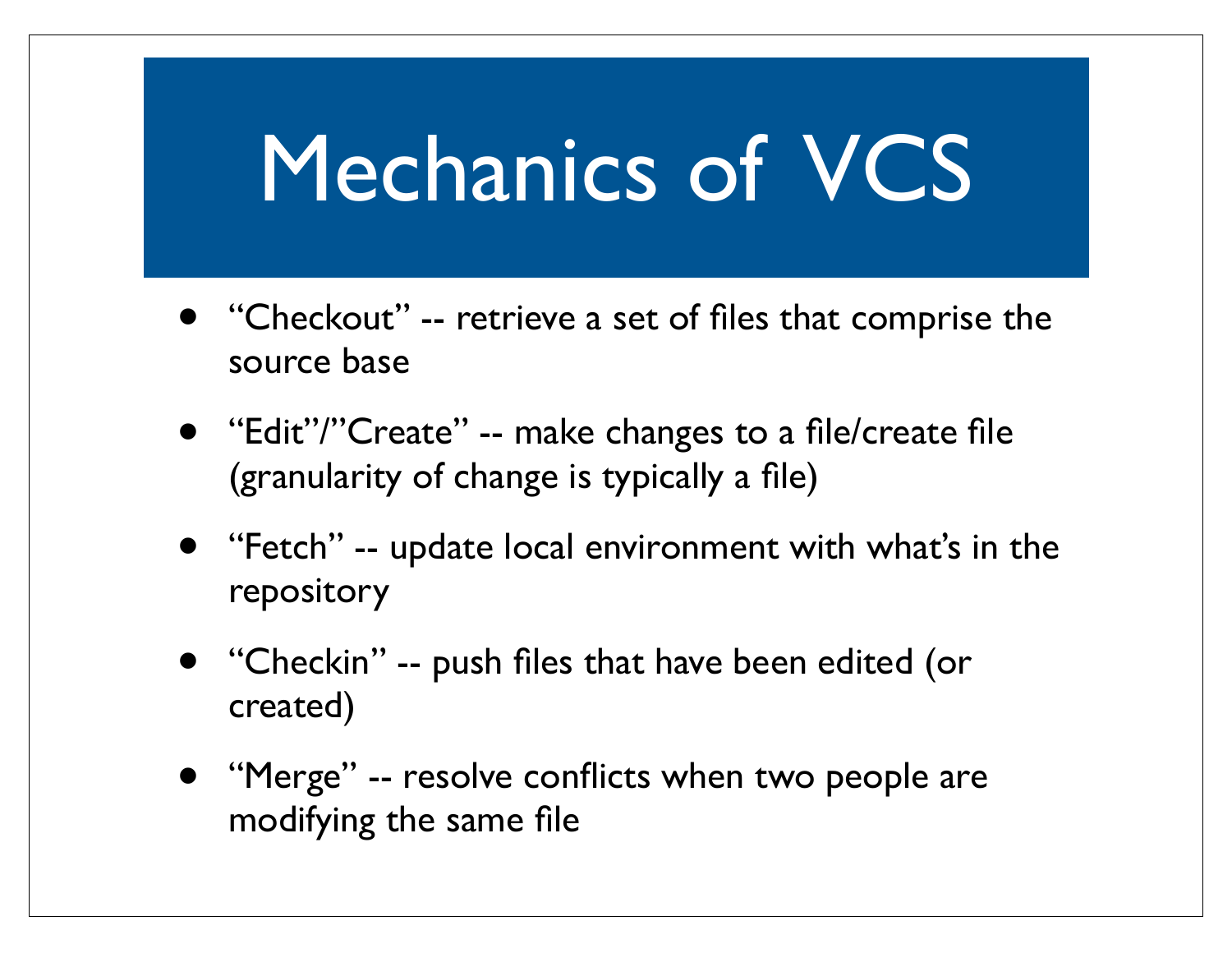#### Mechanics of VCS

- "Checkout" -- retrieve a set of files that comprise the source base
- "Edit"/"Create" -- make changes to a file/create file (granularity of change is typically a file)
- "Fetch" -- update local environment with what's in the repository
- "Checkin" -- push files that have been edited (or created)
- "Merge" -- resolve conflicts when two people are modifying the same file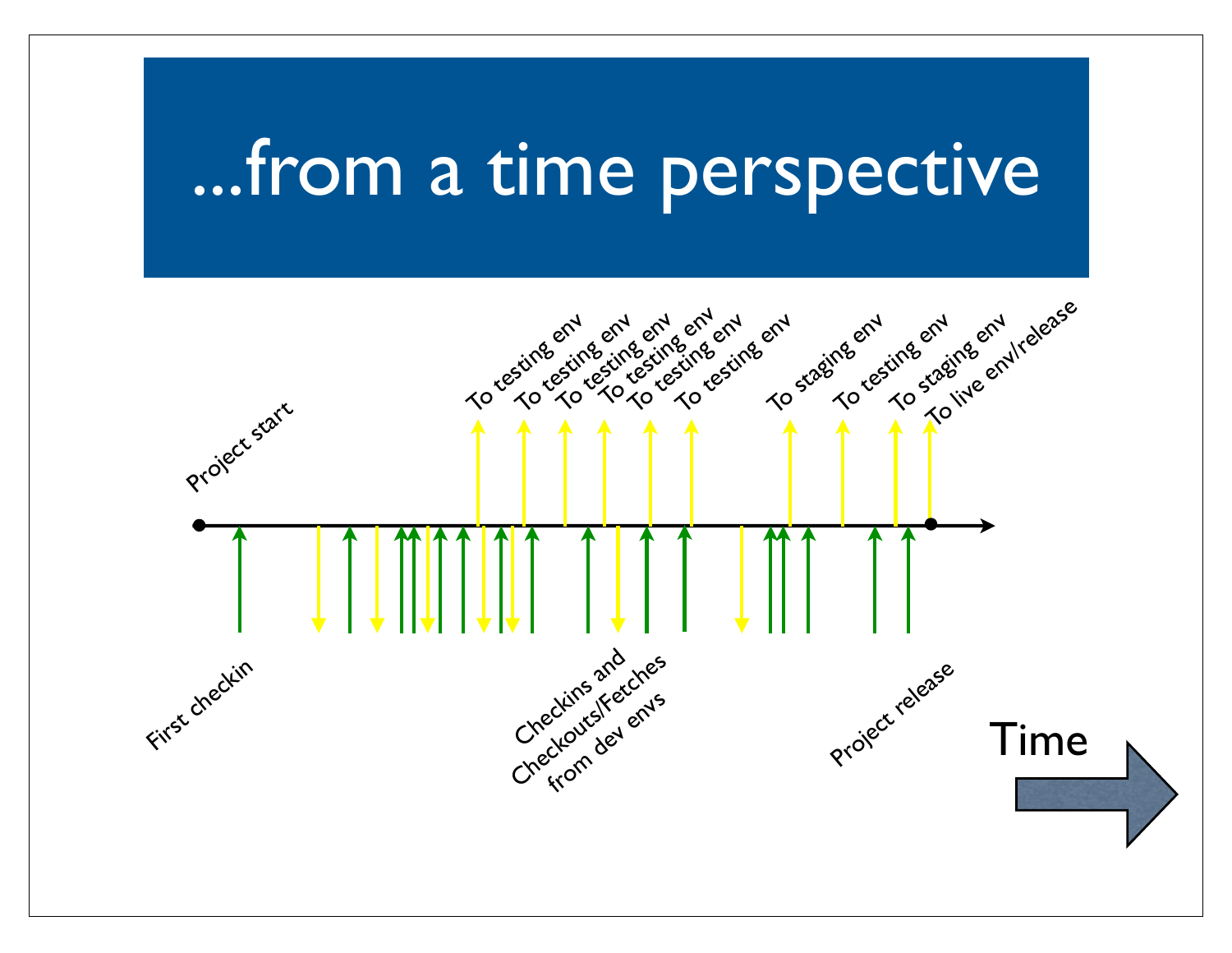#### ...from a time perspective

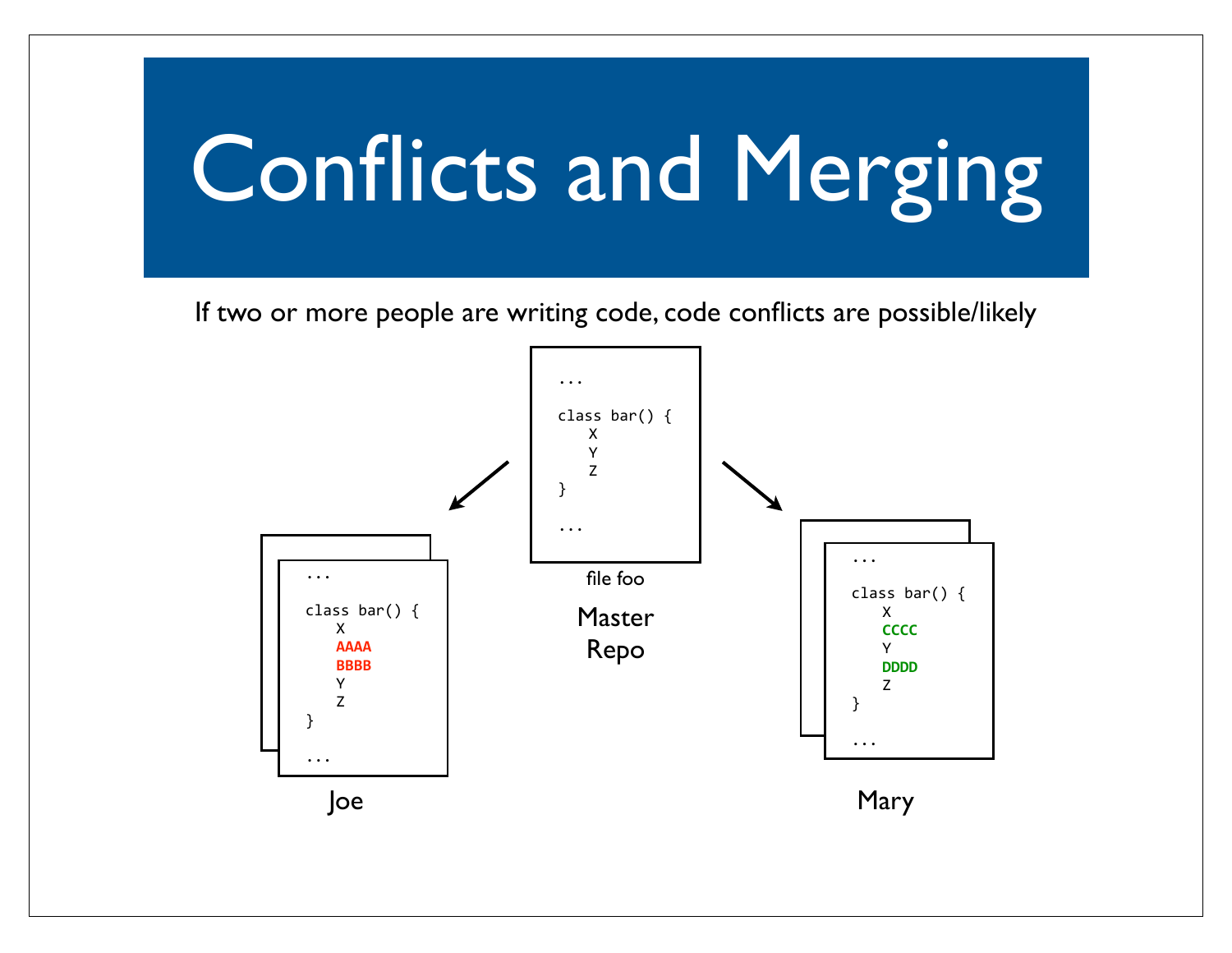If two or more people are writing code, code conflicts are possible/likely

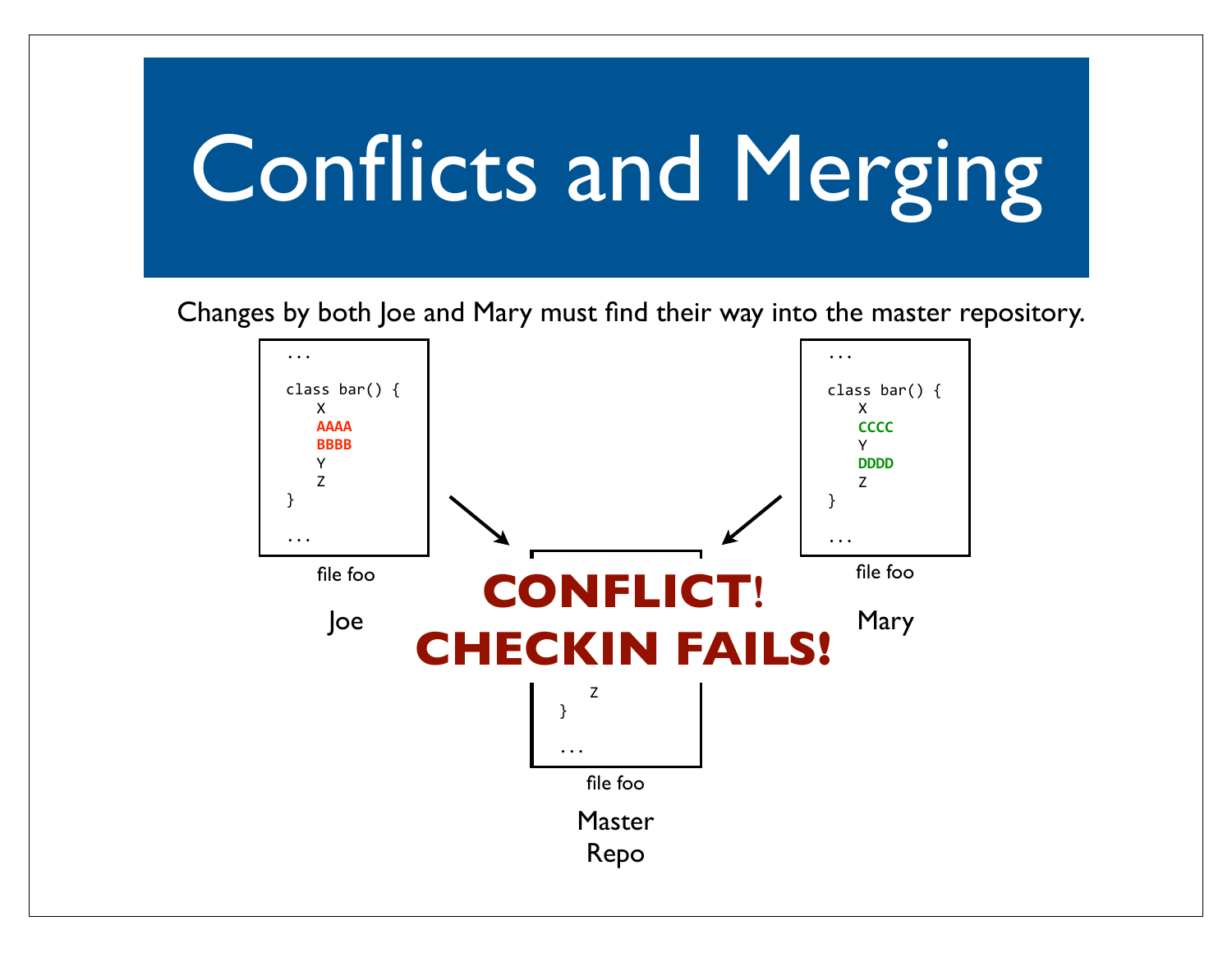Changes by both Joe and Mary must find their way into the master repository.

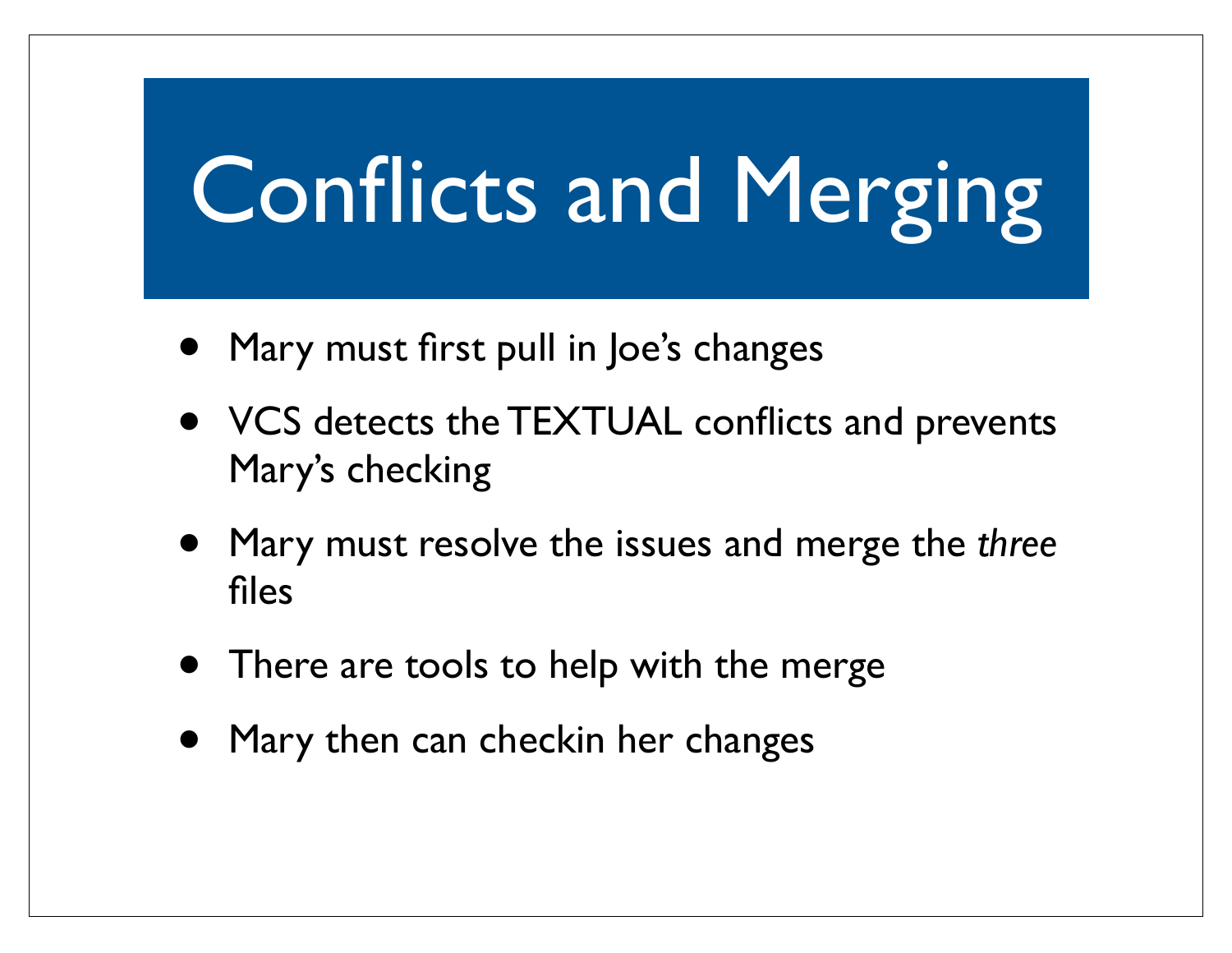- Mary must first pull in Joe's changes
- VCS detects the TEXTUAL conflicts and prevents Mary's checking
- Mary must resolve the issues and merge the *three* files
- There are tools to help with the merge
- Mary then can checkin her changes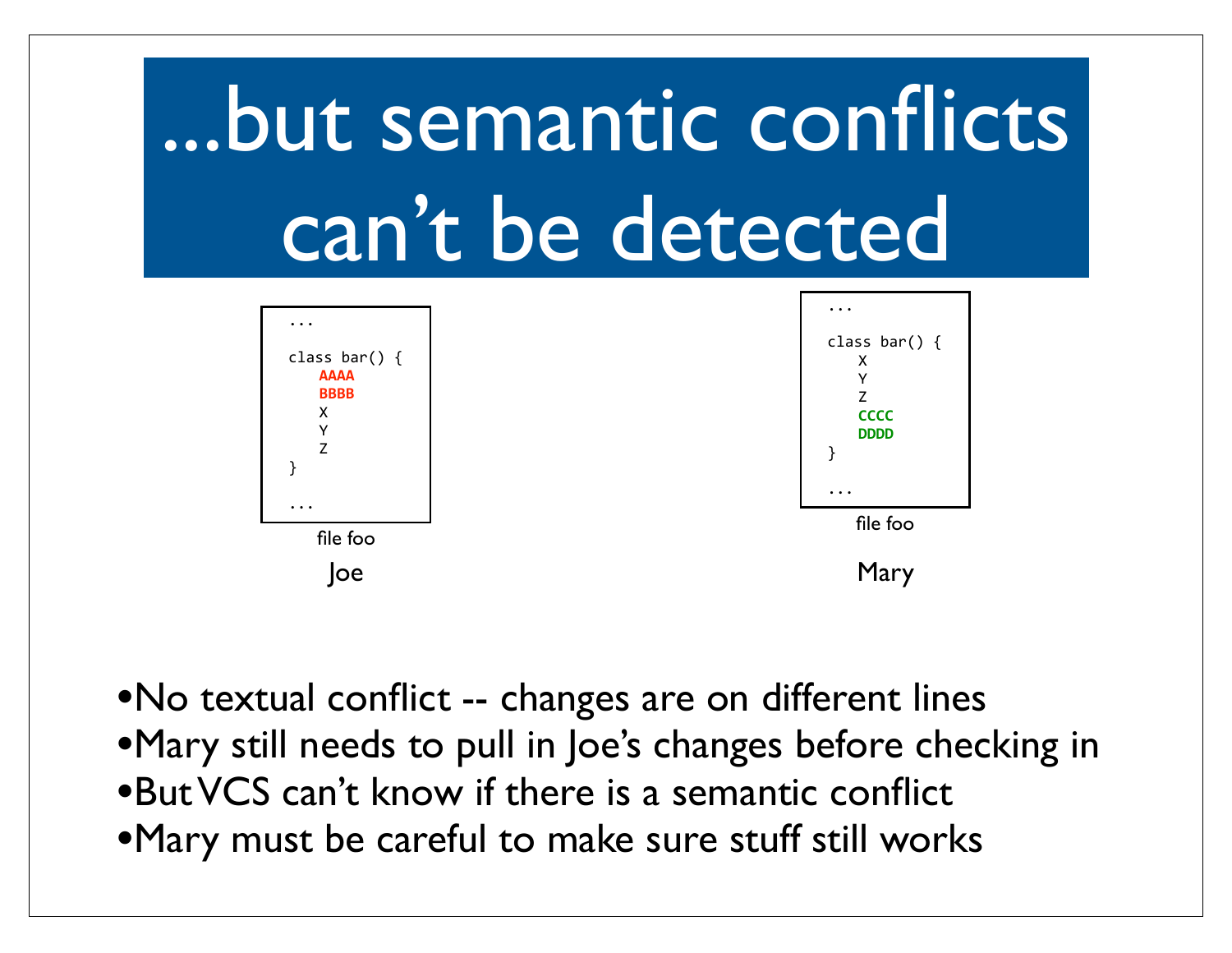# ...but semantic conflicts can't be detected



- •No textual conflict -- changes are on different lines
- •Mary still needs to pull in Joe's changes before checking in
- •But VCS can't know if there is a semantic conflict
- •Mary must be careful to make sure stuff still works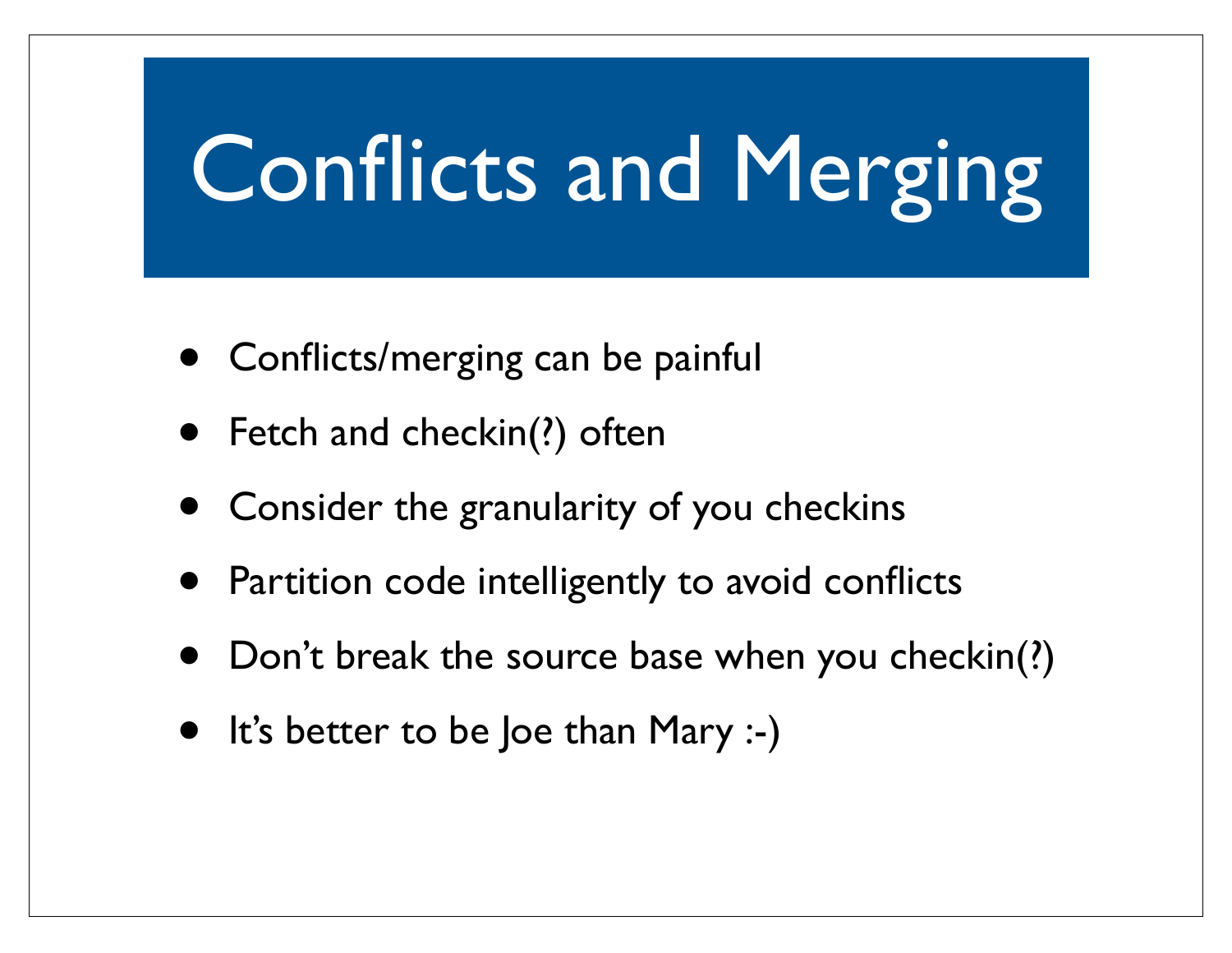- **Conflicts/merging can be painful**
- Fetch and checkin(?) often
- Consider the granularity of you checkins
- Partition code intelligently to avoid conflicts
- Don't break the source base when you checkin(?)
- It's better to be Joe than Mary :-)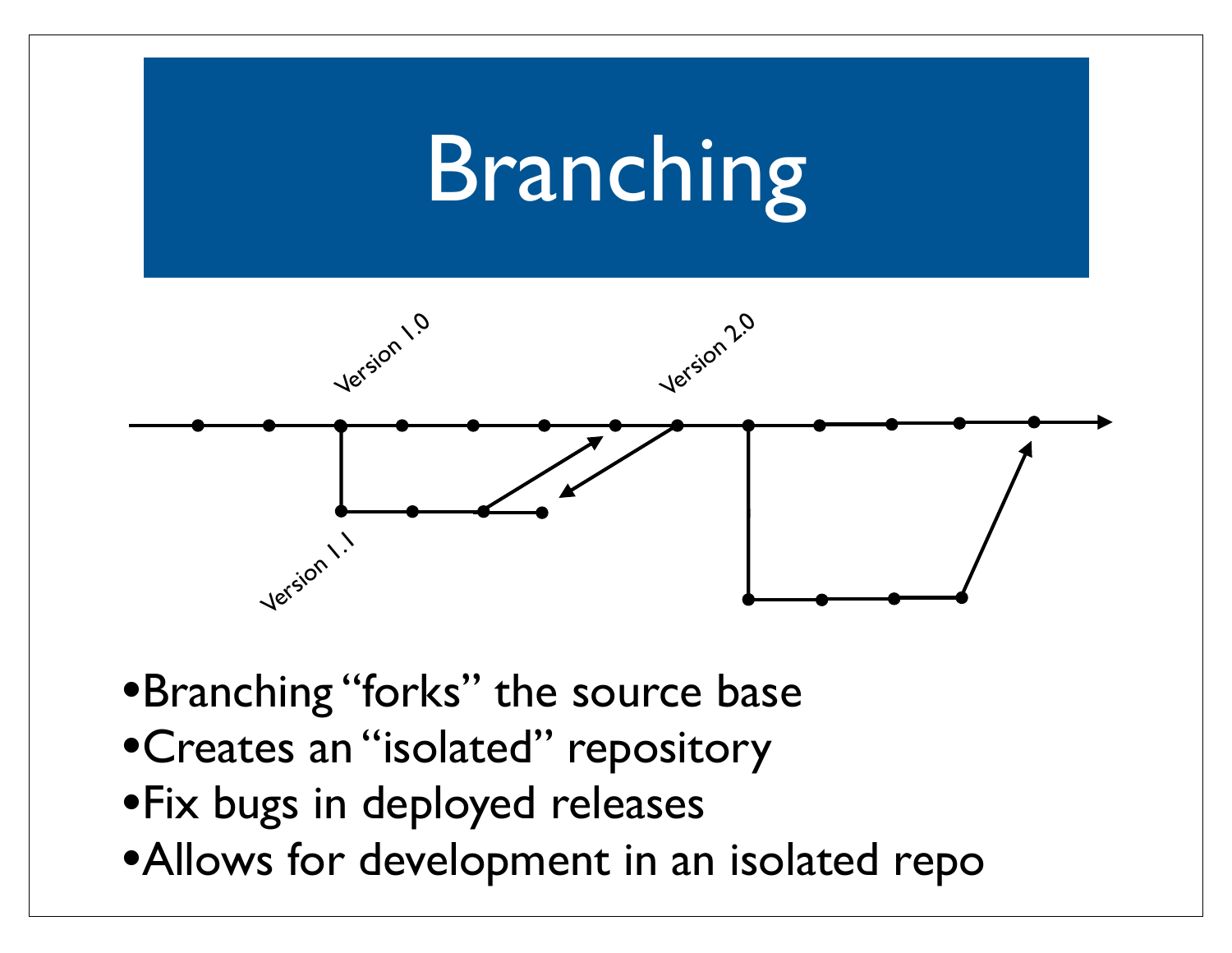## Branching



- •Branching "forks" the source base
- •Creates an "isolated" repository
- •Fix bugs in deployed releases
- •Allows for development in an isolated repo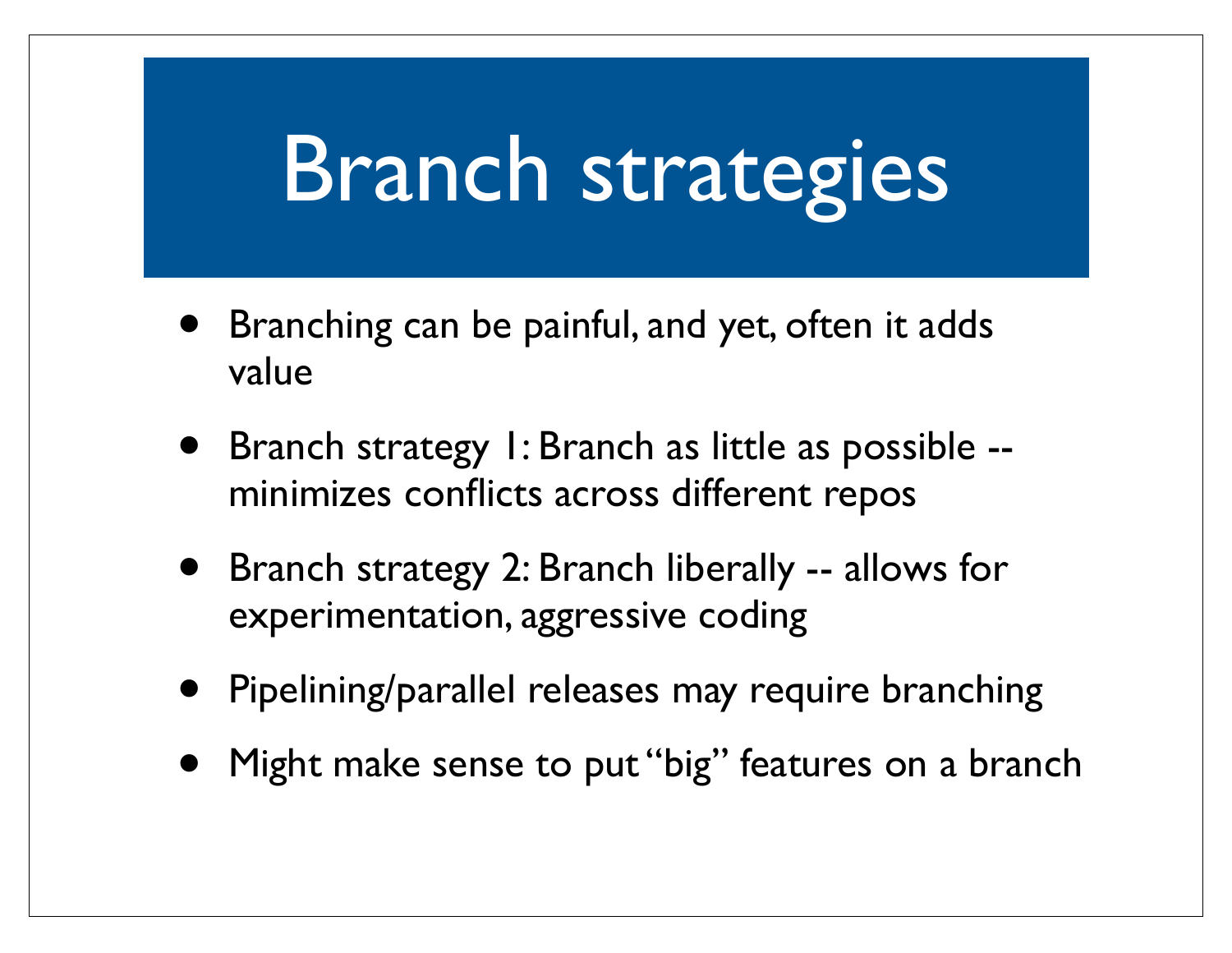#### Branch strategies

- Branching can be painful, and yet, often it adds value
- Branch strategy 1: Branch as little as possible minimizes conflicts across different repos
- Branch strategy 2: Branch liberally -- allows for experimentation, aggressive coding
- Pipelining/parallel releases may require branching
- Might make sense to put "big" features on a branch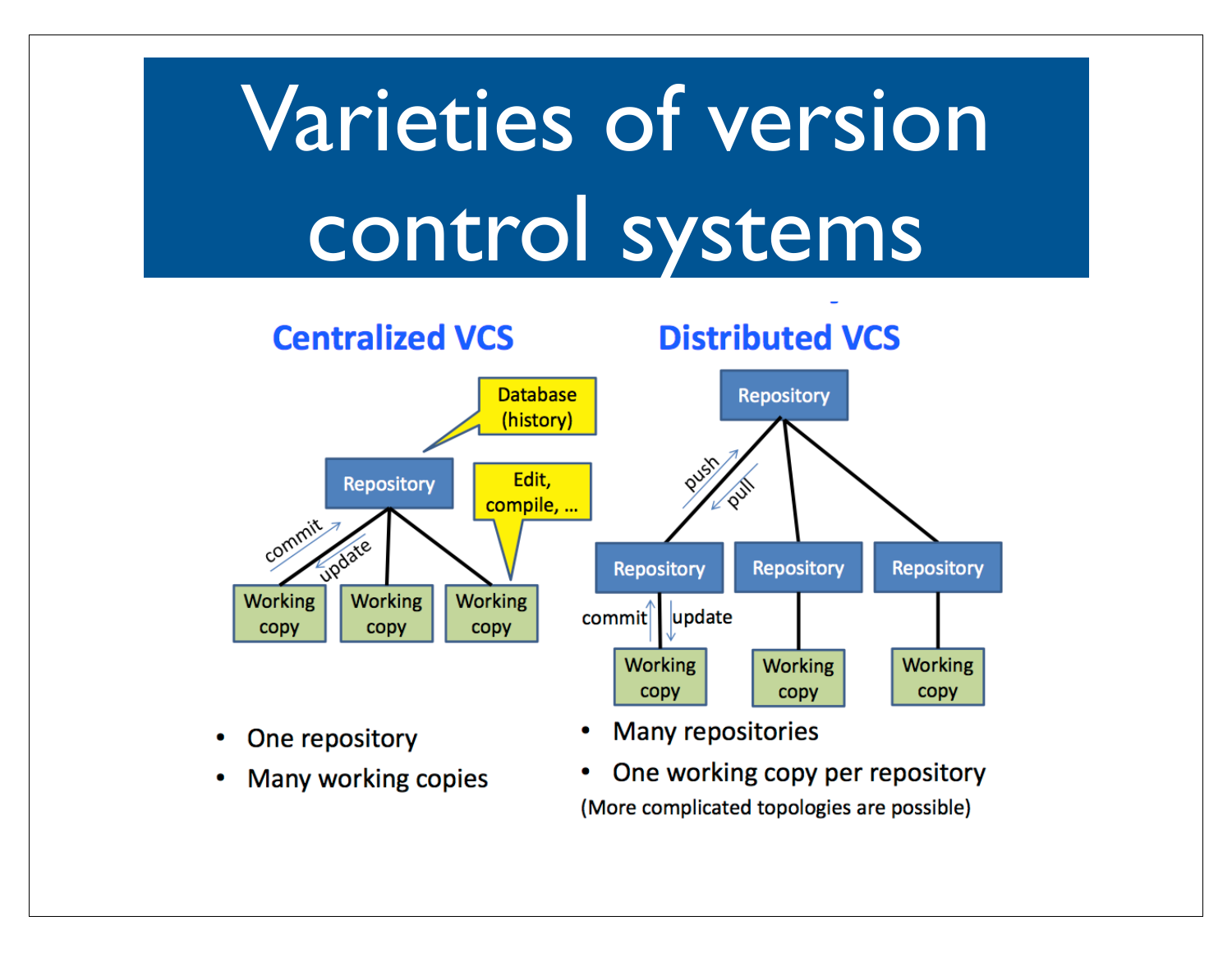# Varieties of version control systems



- One repository
- Many working copies
- **Many repositories**
- One working copy per repository ٠ (More complicated topologies are possible)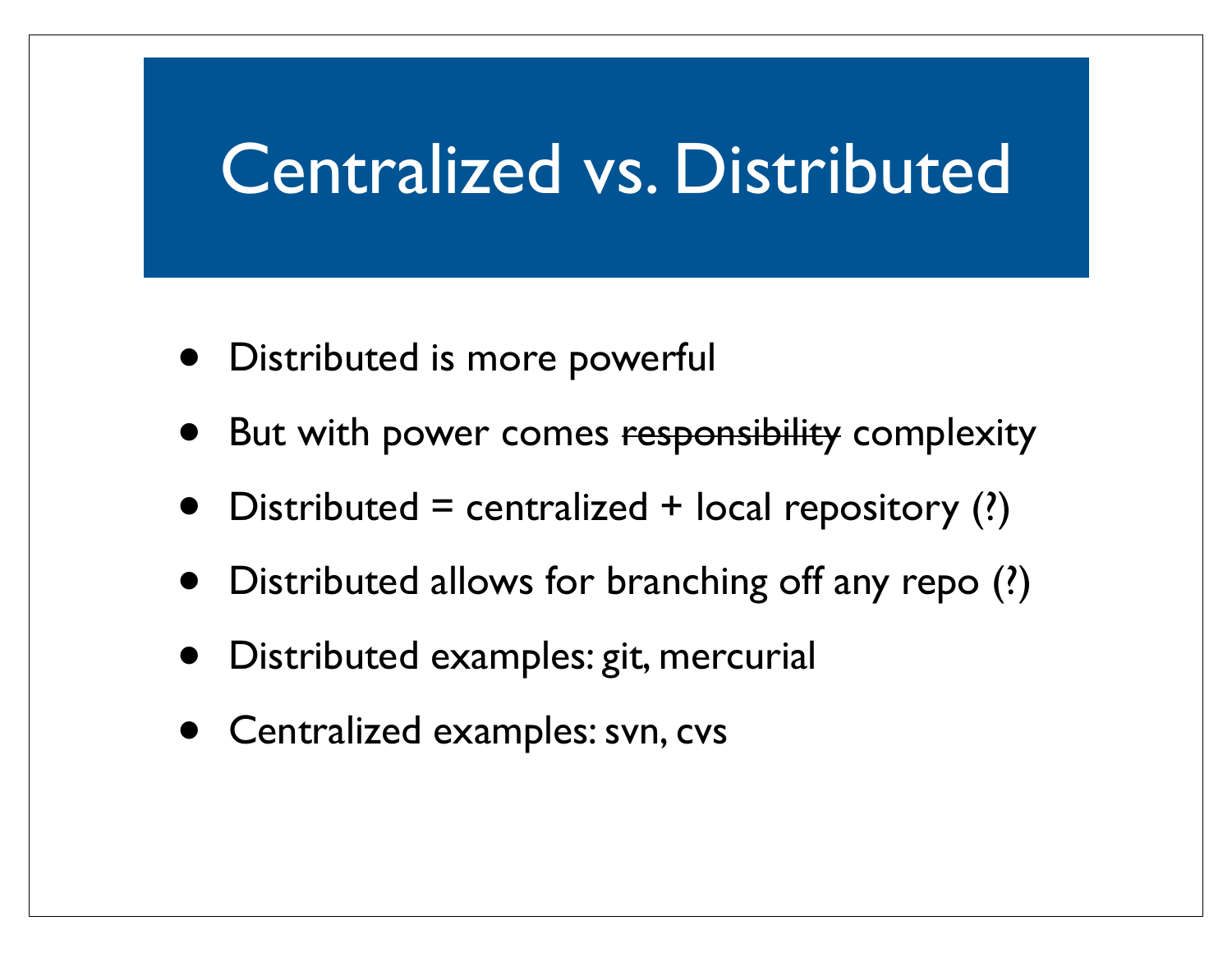#### Centralized vs. Distributed

- Distributed is more powerful
- But with power comes responsibility complexity
- Distributed = centralized + local repository  $(?)$
- Distributed allows for branching off any repo (?)
- Distributed examples: git, mercurial
- Centralized examples: svn, cvs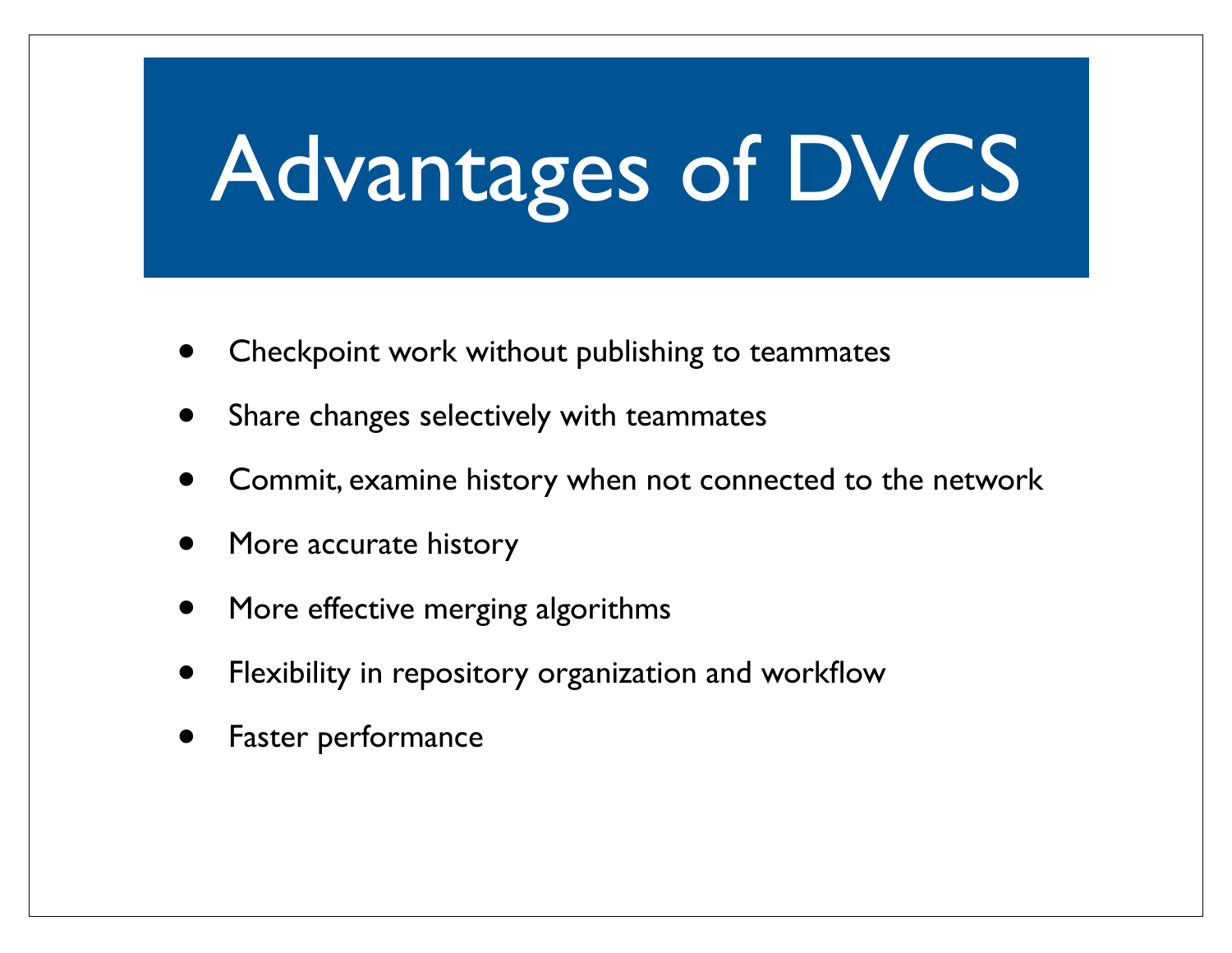# Advantages of DVCS

- Checkpoint work without publishing to teammates
- Share changes selectively with teammates
- Commit, examine history when not connected to the network
- More accurate history
- More effective merging algorithms
- Flexibility in repository organization and workflow
- Faster performance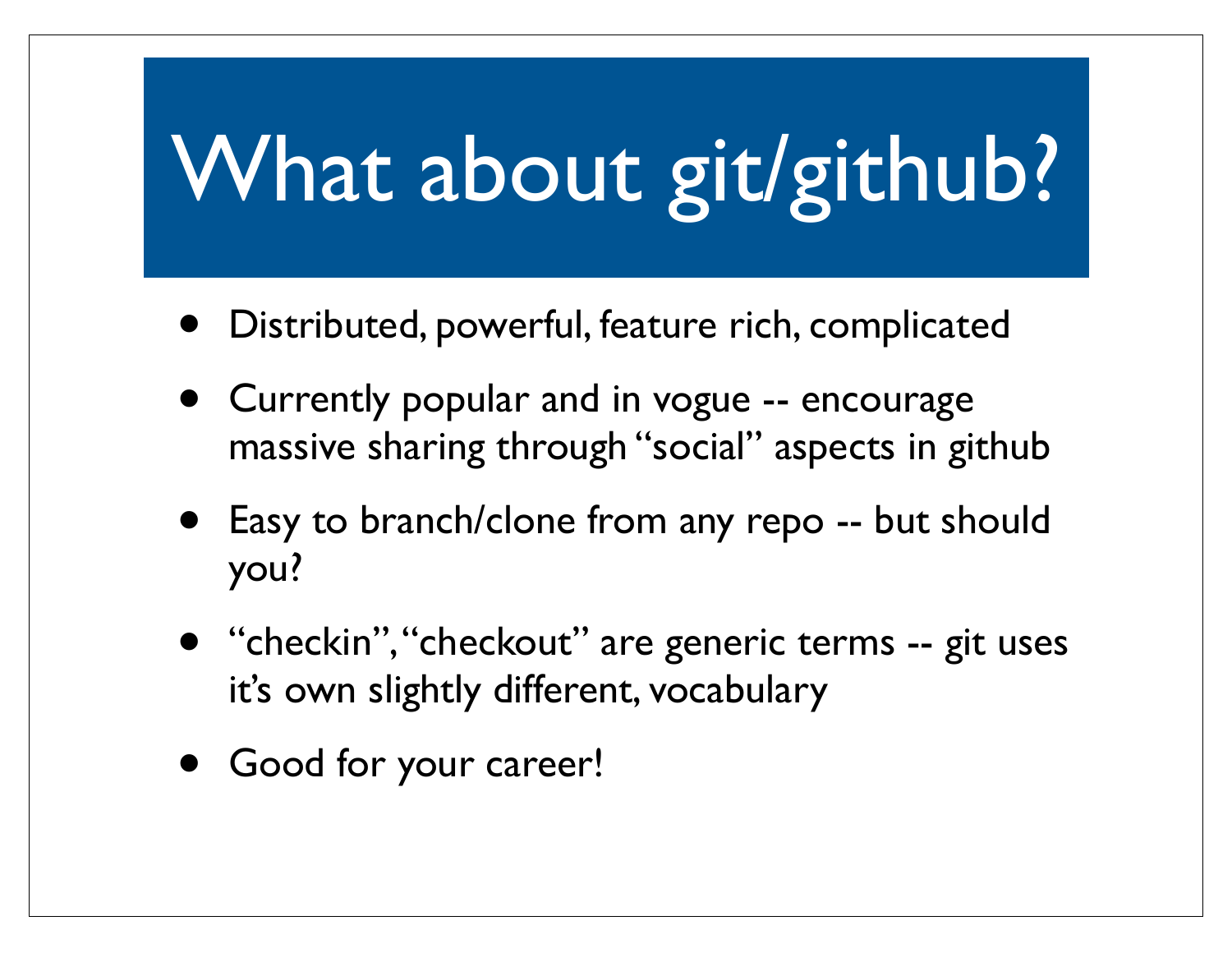### What about git/github?

- Distributed, powerful, feature rich, complicated
- Currently popular and in vogue -- encourage massive sharing through "social" aspects in github
- Easy to branch/clone from any repo -- but should you?
- "checkin", "checkout" are generic terms -- git uses it's own slightly different, vocabulary
- Good for your career!